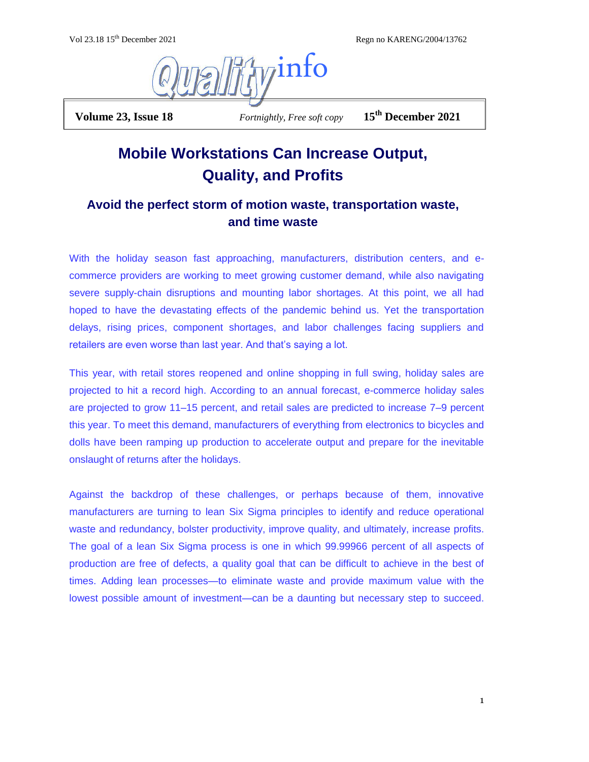Vol 23.18 15th December 2021 Regn no KARENG/2004/13762



 **Volume 23, Issue 18** *Fortnightly, Free soft copy* **15th December 2021**

## **Mobile Workstations Can Increase Output, Quality, and Profits**

## **Avoid the perfect storm of motion waste, transportation waste, and time waste**

With the holiday season fast approaching, manufacturers, distribution centers, and ecommerce providers are working to meet growing customer demand, while also navigating severe supply-chain disruptions and mounting labor shortages. At this point, we all had hoped to have the devastating effects of the pandemic behind us. Yet the transportation delays, rising prices, component shortages, and labor challenges facing suppliers and retailers are even worse than last year. And that's saying a lot.

This year, with retail stores reopened and online shopping in full swing, holiday sales are projected to hit a record high. According to an annual forecast, e-commerce holiday sales are projected to grow 11–15 percent, and retail sales are predicted to increase 7–9 percent this year. To meet this demand, manufacturers of everything from electronics to bicycles and dolls have been ramping up production to accelerate output and prepare for the inevitable onslaught of returns after the holidays.

Against the backdrop of these challenges, or perhaps because of them, innovative manufacturers are turning to lean Six Sigma principles to identify and reduce operational waste and redundancy, bolster productivity, improve quality, and ultimately, increase profits. The goal of a lean Six Sigma process is one in which 99.99966 percent of all aspects of production are free of defects, a quality goal that can be difficult to achieve in the best of times. Adding lean processes—to eliminate waste and provide maximum value with the lowest possible amount of investment—can be a daunting but necessary step to succeed.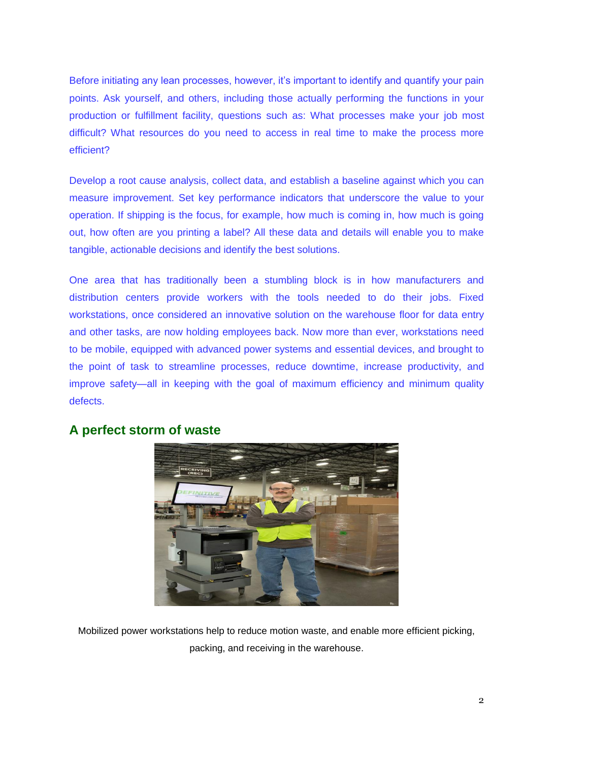Before initiating any lean processes, however, it's important to identify and quantify your pain points. Ask yourself, and others, including those actually performing the functions in your production or fulfillment facility, questions such as: What processes make your job most difficult? What resources do you need to access in real time to make the process more efficient?

Develop a root cause analysis, collect data, and establish a baseline against which you can measure improvement. Set key performance indicators that underscore the value to your operation. If shipping is the focus, for example, how much is coming in, how much is going out, how often are you printing a label? All these data and details will enable you to make tangible, actionable decisions and identify the best solutions.

One area that has traditionally been a stumbling block is in how manufacturers and distribution centers provide workers with the tools needed to do their jobs. Fixed workstations, once considered an innovative solution on the warehouse floor for data entry and other tasks, are now holding employees back. Now more than ever, workstations need to be mobile, equipped with advanced power systems and essential devices, and brought to the point of task to streamline processes, reduce downtime, increase productivity, and improve safety—all in keeping with the goal of maximum efficiency and minimum quality defects.



## **A perfect storm of waste**

Mobilized power workstations help to reduce motion waste, and enable more efficient picking, packing, and receiving in the warehouse.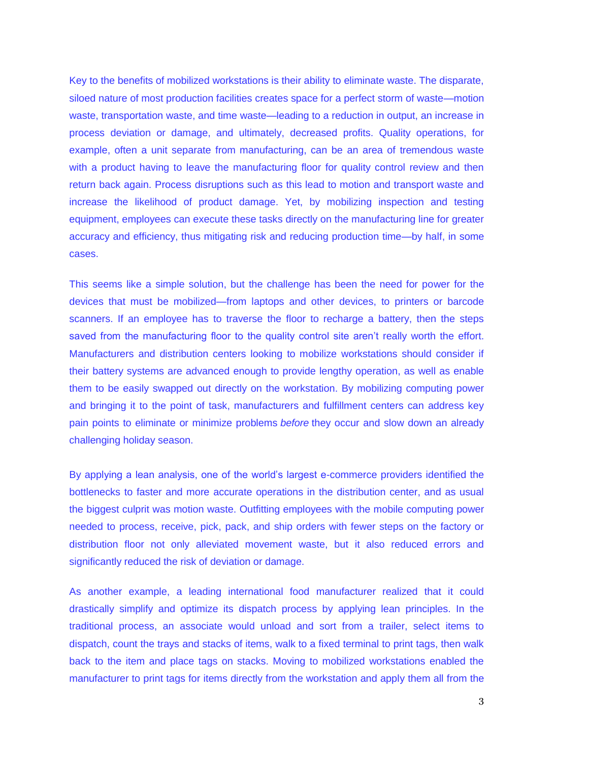Key to the benefits of mobilized workstations is their ability to eliminate waste. The disparate, siloed nature of most production facilities creates space for a perfect storm of waste—motion waste, transportation waste, and time waste—leading to a reduction in output, an increase in process deviation or damage, and ultimately, decreased profits. Quality operations, for example, often a unit separate from manufacturing, can be an area of tremendous waste with a product having to leave the manufacturing floor for quality control review and then return back again. Process disruptions such as this lead to motion and transport waste and increase the likelihood of product damage. Yet, by mobilizing inspection and testing equipment, employees can execute these tasks directly on the manufacturing line for greater accuracy and efficiency, thus mitigating risk and reducing production time—by half, in some cases.

This seems like a simple solution, but the challenge has been the need for power for the devices that must be mobilized—from laptops and other devices, to printers or barcode scanners. If an employee has to traverse the floor to recharge a battery, then the steps saved from the manufacturing floor to the quality control site aren't really worth the effort. Manufacturers and distribution centers looking to mobilize workstations should consider if their battery systems are advanced enough to provide lengthy operation, as well as enable them to be easily swapped out directly on the workstation. By mobilizing computing power and bringing it to the point of task, manufacturers and fulfillment centers can address key pain points to eliminate or minimize problems *before* they occur and slow down an already challenging holiday season.

By applying a lean analysis, one of the world's largest e-commerce providers identified the bottlenecks to faster and more accurate operations in the distribution center, and as usual the biggest culprit was motion waste. Outfitting employees with the mobile computing power needed to process, receive, pick, pack, and ship orders with fewer steps on the factory or distribution floor not only alleviated movement waste, but it also reduced errors and significantly reduced the risk of deviation or damage.

As another example, a leading international food manufacturer realized that it could drastically simplify and optimize its dispatch process by applying lean principles. In the traditional process, an associate would unload and sort from a trailer, select items to dispatch, count the trays and stacks of items, walk to a fixed terminal to print tags, then walk back to the item and place tags on stacks. Moving to mobilized workstations enabled the manufacturer to print tags for items directly from the workstation and apply them all from the